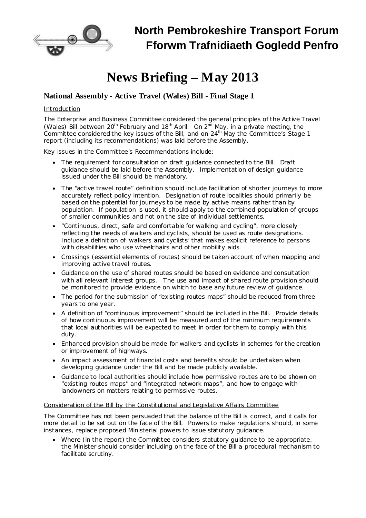

# **News Briefing – May 2013**

## **National Assembly - Active Travel (Wales) Bill - Final Stage 1**

#### Introduction

The Enterprise and Business Committee considered the general principles of the Active Travel (Wales) Bill between 20<sup>th</sup> February and 18<sup>th</sup> April. On  $2^{nd}$  May, in a private meeting, the Committee considered the key issues of the Bill, and on 24<sup>th</sup> May the Committee's Stage 1 report (including its recommendations) was laid before the Assembly.

Key issues in the Committee's Recommendations include:

- · The requirement for consultation on draft guidance connected to the Bill. Draft guidance should be laid before the Assembly. Implementation of design guidance issued under the Bill should be mandatory.
- · The "active travel route" definition should include facilitation of shorter journeys to more accurately reflect policy intention. Designation of route localities should primarily be based on the potential for journeys to be made by active means rather than by population. If population is used, it should apply to the combined population of groups of smaller communities and not on the size of individual settlements.
- · "Continuous, direct, safe and comfortable for walking and cycling", more closely reflecting the needs of walkers and cyclists, should be used as route designations. Include a definition of 'walkers and cyclists' that makes explicit reference to persons with disabilities who use wheelchairs and other mobility aids.
- · Crossings (essential elements of routes) should be taken account of when mapping and improving active travel routes.
- · Guidance on the use of shared routes should be based on evidence and consultation with all relevant interest groups. The use and impact of shared route provision should be monitored to provide evidence on which to base any future review of guidance.
- · The period for the submission of "existing routes maps" should be reduced from three years to one year.
- · A definition of "continuous improvement" should be included in the Bill. Provide details of how continuous improvement will be measured and of the minimum requirements that local authorities will be expected to meet in order for them to comply with this duty.
- · Enhanced provision should be made for walkers and cyclists in schemes for the creation or improvement of highways.
- · An impact assessment of financial costs and benefits should be undertaken when developing guidance under the Bill and be made publicly available.
- · Guidance to local authorities should include how permissive routes are to be shown on "existing routes maps" and "integrated network maps", and how to engage with landowners on matters relating to permissive routes.

#### Consideration of the Bill by the Constitutional and Legislative Affairs Committee

The Committee has not been persuaded that the balance of the Bill is correct, and it calls for more detail to be set out on the face of the Bill. Powers to make regulations should, in some instances, replace proposed Ministerial powers to issue statutory guidance.

· Where (in the report) the Committee considers statutory guidance to be appropriate, the Minister should consider including on the face of the Bill a procedural mechanism to facilitate scrutiny.